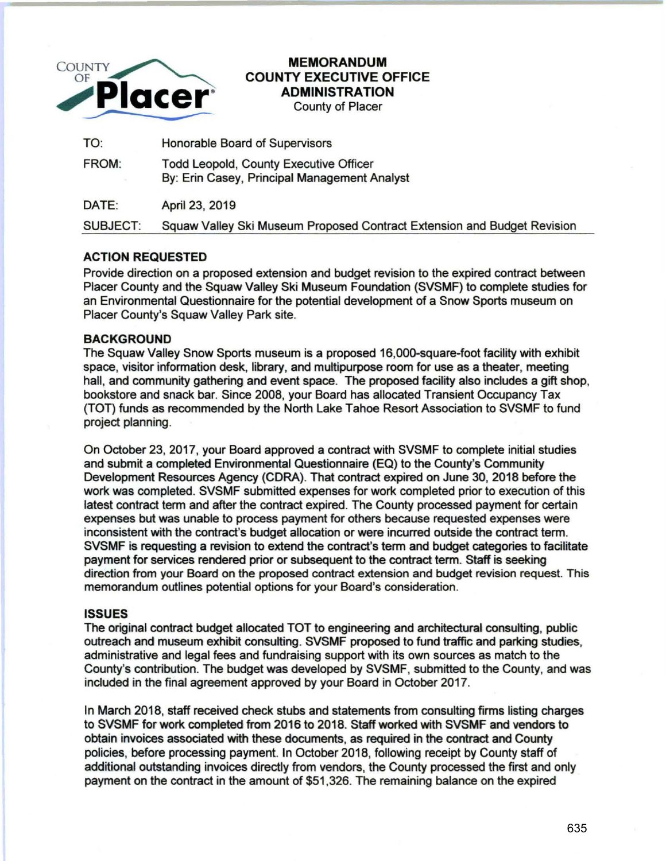

# MEMORANDUM COUNTY EXECUTIVE OFFICE ADMINISTRATION

County of Placer

| TO:             | Honorable Board of Supervisors                                                                |
|-----------------|-----------------------------------------------------------------------------------------------|
| FROM:           | <b>Todd Leopold, County Executive Officer</b><br>By: Erin Casey, Principal Management Analyst |
| DATE:           | April 23, 2019                                                                                |
| <b>SUBJECT:</b> | Squaw Valley Ski Museum Proposed Contract Extension and Budget Revision                       |

# ACTION REQUESTED

Provide direction on a proposed extension and budget revision to the expired contract between Placer County and the Squaw Valley Ski Museum Foundation (SVSMF) to complete studies for an Environmental Questionnaire for the potential development of a Snow Sports museum on Placer County's Squaw Valley Park site.

## **BACKGROUND**

The Squaw Valley Snow Sports museum is a proposed 16,000-square-foot facility with exhibit space, visitor information desk, library, and multipurpose room for use as a theater, meeting hall, and community gathering and event space. The proposed facility also includes a gift shop, bookstore and snack bar. Since 2008, your Board has allocated Transient Occupancy Tax (TOT) funds as recommended by the North Lake Tahoe Resort Association to SVSMF to fund project planning.

On October 23, 2017, your Board approved a contract with SVSMF to complete initial studies and submit a completed Environmental Questionnaire (EQ) to the County's Community Development Resources Agency (CORA). That contract expired on June 30, 2018 before the work was completed. SVSMF submitted expenses for work completed prior to execution of this latest contract term and after the contract expired. The County processed payment for certain expenses but was unable to process payment for others because requested expenses were inconsistent with the contract's budget allocation or were incurred outside the contract term. SVSMF is requesting a revision to extend the contract's term and budget categories to facilitate payment for services rendered prior or subsequent to the contract term. Staff is seeking direction from your Board on the proposed contract extension and budget revision request. This memorandum outlines potential options for your Board's consideration.

## ISSUES

The original contract budget allocated TOT to engineering and architectural consulting, public outreach and museum exhibit consulting. SVSMF proposed to fund traffic and parking studies, administrative and legal fees and fundraising support with its own sources as match to the County's contribution. The budget was developed by SVSMF, submitted to the County, and was included in the final agreement approved by your Board in October 2017.

In March 2018, staff received check stubs and statements from consulting firms listing charges to SVSMF for work completed from 2016 to 2018. Staff worked with SVSMF and vendors to obtain invoices associated with these documents, as required in the contract and County policies, before processing payment. In October 2018, following receipt by County staff of additional outstanding invoices directly from vendors, the County processed the first and only payment on the contract in the amount of \$51 ,326. The remaining balance on the expired